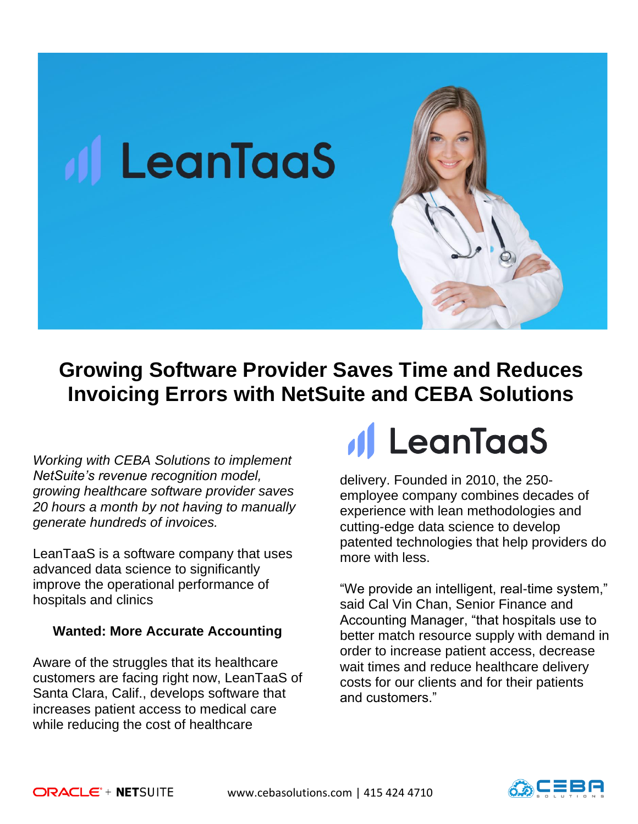

## **Growing Software Provider Saves Time and Reduces Invoicing Errors with NetSuite and CEBA Solutions**

*Working with CEBA Solutions to implement NetSuite's revenue recognition model, growing healthcare software provider saves 20 hours a month by not having to manually generate hundreds of invoices.* 

**All LeanTaaS** 

LeanTaaS is a software company that uses advanced data science to significantly improve the operational performance of hospitals and clinics

#### **Wanted: More Accurate Accounting**

Aware of the struggles that its healthcare customers are facing right now, LeanTaaS of Santa Clara, Calif., develops software that increases patient access to medical care while reducing the cost of healthcare

# *Il LeanTaaS*

delivery. Founded in 2010, the 250 employee company combines decades of experience with lean methodologies and cutting-edge data science to develop patented technologies that help providers do more with less.

"We provide an intelligent, real-time system," said Cal Vin Chan, Senior Finance and Accounting Manager, "that hospitals use to better match resource supply with demand in order to increase patient access, decrease wait times and reduce healthcare delivery costs for our clients and for their patients and customers."

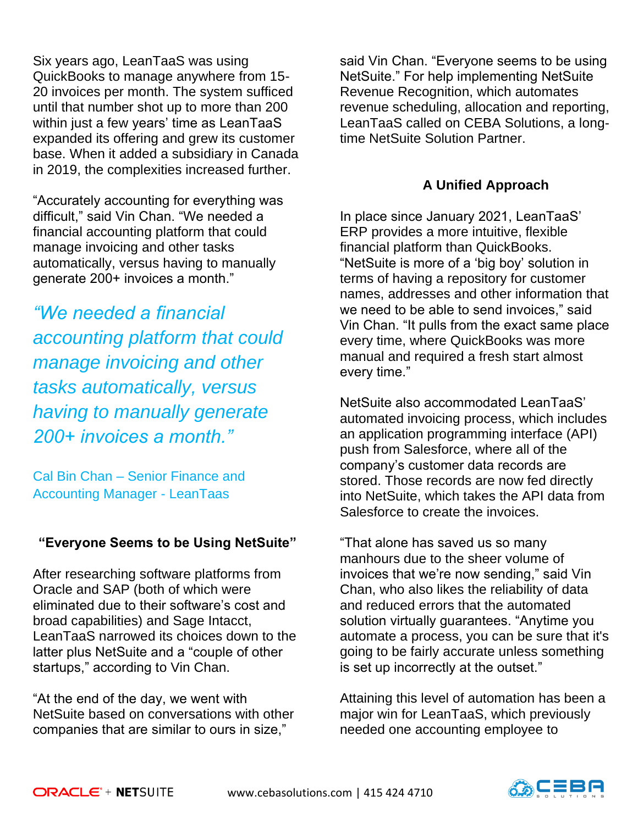Six years ago, LeanTaaS was using QuickBooks to manage anywhere from 15- 20 invoices per month. The system sufficed until that number shot up to more than 200 within just a few years' time as LeanTaaS expanded its offering and grew its customer base. When it added a subsidiary in Canada in 2019, the complexities increased further.

"Accurately accounting for everything was difficult," said Vin Chan. "We needed a financial accounting platform that could manage invoicing and other tasks automatically, versus having to manually generate 200+ invoices a month."

*"We needed a financial accounting platform that could manage invoicing and other tasks automatically, versus having to manually generate 200+ invoices a month."*

Cal Bin Chan – Senior Finance and Accounting Manager - LeanTaas

### **"Everyone Seems to be Using NetSuite"**

After researching software platforms from Oracle and SAP (both of which were eliminated due to their software's cost and broad capabilities) and Sage Intacct, LeanTaaS narrowed its choices down to the latter plus NetSuite and a "couple of other startups," according to Vin Chan.

"At the end of the day, we went with NetSuite based on conversations with other companies that are similar to ours in size,"

said Vin Chan. "Everyone seems to be using NetSuite." For help implementing NetSuite Revenue Recognition, which automates revenue scheduling, allocation and reporting, LeanTaaS called on CEBA Solutions, a longtime NetSuite Solution Partner.

### **A Unified Approach**

In place since January 2021, LeanTaaS' ERP provides a more intuitive, flexible financial platform than QuickBooks. "NetSuite is more of a 'big boy' solution in terms of having a repository for customer names, addresses and other information that we need to be able to send invoices," said Vin Chan. "It pulls from the exact same place every time, where QuickBooks was more manual and required a fresh start almost every time."

NetSuite also accommodated LeanTaaS' automated invoicing process, which includes an application programming interface (API) push from Salesforce, where all of the company's customer data records are stored. Those records are now fed directly into NetSuite, which takes the API data from Salesforce to create the invoices.

"That alone has saved us so many manhours due to the sheer volume of invoices that we're now sending," said Vin Chan, who also likes the reliability of data and reduced errors that the automated solution virtually guarantees. "Anytime you automate a process, you can be sure that it's going to be fairly accurate unless something is set up incorrectly at the outset."

Attaining this level of automation has been a major win for LeanTaaS, which previously needed one accounting employee to